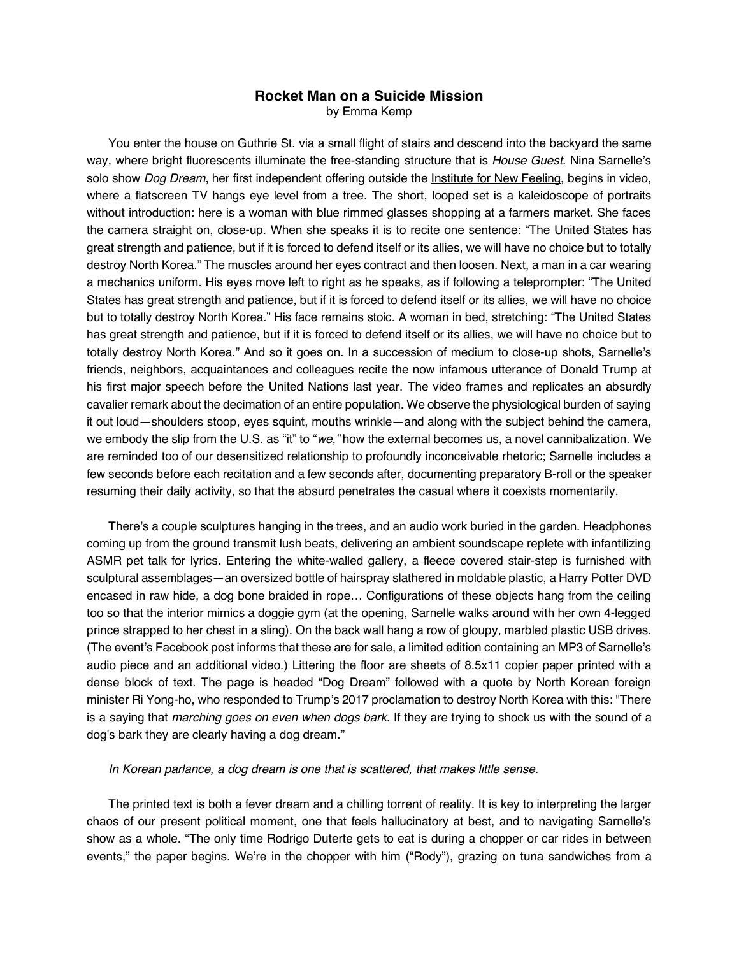## **Rocket Man on a Suicide Mission** by Emma Kemp

You enter the house on Guthrie St. via a small flight of stairs and descend into the backyard the same way, where bright fluorescents illuminate the free-standing structure that is *House Guest.* Nina Sarnelle's solo show *Dog Dream*, her first independent offering outside the Institute for New Feeling, begins in video, where a flatscreen TV hangs eye level from a tree. The short, looped set is a kaleidoscope of portraits without introduction: here is a woman with blue rimmed glasses shopping at a farmers market. She faces the camera straight on, close-up. When she speaks it is to recite one sentence: "The United States has great strength and patience, but if it is forced to defend itself or its allies, we will have no choice but to totally destroy North Korea." The muscles around her eyes contract and then loosen. Next, a man in a car wearing a mechanics uniform. His eyes move left to right as he speaks, as if following a teleprompter: "The United States has great strength and patience, but if it is forced to defend itself or its allies, we will have no choice but to totally destroy North Korea." His face remains stoic. A woman in bed, stretching: "The United States has great strength and patience, but if it is forced to defend itself or its allies, we will have no choice but to totally destroy North Korea." And so it goes on. In a succession of medium to close-up shots, Sarnelle's friends, neighbors, acquaintances and colleagues recite the now infamous utterance of Donald Trump at his first major speech before the United Nations last year. The video frames and replicates an absurdly cavalier remark about the decimation of an entire population. We observe the physiological burden of saying it out loud—shoulders stoop, eyes squint, mouths wrinkle—and along with the subject behind the camera, we embody the slip from the U.S. as "it" to "*we,"* how the external becomes us, a novel cannibalization. We are reminded too of our desensitized relationship to profoundly inconceivable rhetoric; Sarnelle includes a few seconds before each recitation and a few seconds after, documenting preparatory B-roll or the speaker resuming their daily activity, so that the absurd penetrates the casual where it coexists momentarily.

There's a couple sculptures hanging in the trees, and an audio work buried in the garden. Headphones coming up from the ground transmit lush beats, delivering an ambient soundscape replete with infantilizing ASMR pet talk for lyrics. Entering the white-walled gallery, a fleece covered stair-step is furnished with sculptural assemblages—an oversized bottle of hairspray slathered in moldable plastic, a Harry Potter DVD encased in raw hide, a dog bone braided in rope… Configurations of these objects hang from the ceiling too so that the interior mimics a doggie gym (at the opening, Sarnelle walks around with her own 4-legged prince strapped to her chest in a sling). On the back wall hang a row of gloupy, marbled plastic USB drives. (The event's Facebook post informs that these are for sale, a limited edition containing an MP3 of Sarnelle's audio piece and an additional video.) Littering the floor are sheets of 8.5x11 copier paper printed with a dense block of text. The page is headed "Dog Dream" followed with a quote by North Korean foreign minister Ri Yong-ho, who responded to Trump's 2017 proclamation to destroy North Korea with this: "There is a saying that *marching goes on even when dogs bark*. If they are trying to shock us with the sound of a dog's bark they are clearly having a dog dream."

## *In Korean parlance, a dog dream is one that is scattered, that makes little sense.*

The printed text is both a fever dream and a chilling torrent of reality. It is key to interpreting the larger chaos of our present political moment, one that feels hallucinatory at best, and to navigating Sarnelle's show as a whole. "The only time Rodrigo Duterte gets to eat is during a chopper or car rides in between events," the paper begins. We're in the chopper with him ("Rody"), grazing on tuna sandwiches from a